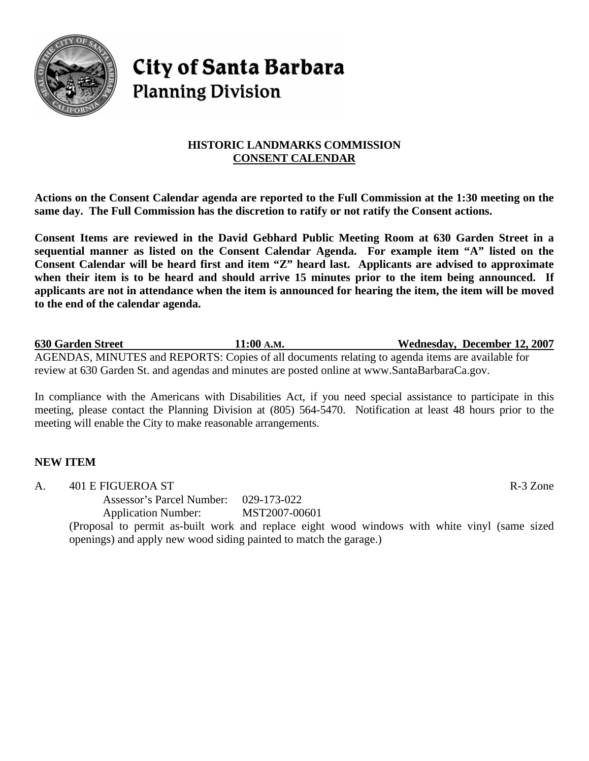

# **City of Santa Barbara Planning Division**

# **HISTORIC LANDMARKS COMMISSION CONSENT CALENDAR**

**Actions on the Consent Calendar agenda are reported to the Full Commission at the 1:30 meeting on the same day. The Full Commission has the discretion to ratify or not ratify the Consent actions.** 

**Consent Items are reviewed in the David Gebhard Public Meeting Room at 630 Garden Street in a sequential manner as listed on the Consent Calendar Agenda. For example item "A" listed on the Consent Calendar will be heard first and item "Z" heard last. Applicants are advised to approximate when their item is to be heard and should arrive 15 minutes prior to the item being announced. If applicants are not in attendance when the item is announced for hearing the item, the item will be moved to the end of the calendar agenda.** 

**630 Garden Street 11:00 A.M. Wednesday, December 12, 2007** AGENDAS, MINUTES and REPORTS: Copies of all documents relating to agenda items are available for review at 630 Garden St. and agendas and minutes are posted online at [www.SantaBarbaraCa.gov.](http://www.santabarbaraca.gov/)

In compliance with the Americans with Disabilities Act, if you need special assistance to participate in this meeting, please contact the Planning Division at (805) 564-5470. Notification at least 48 hours prior to the meeting will enable the City to make reasonable arrangements.

# **NEW ITEM**

A. 401 E FIGUEROA ST R-3 Zone

Assessor's Parcel Number: 029-173-022

Application Number: MST2007-00601

(Proposal to permit as-built work and replace eight wood windows with white vinyl (same sized openings) and apply new wood siding painted to match the garage.)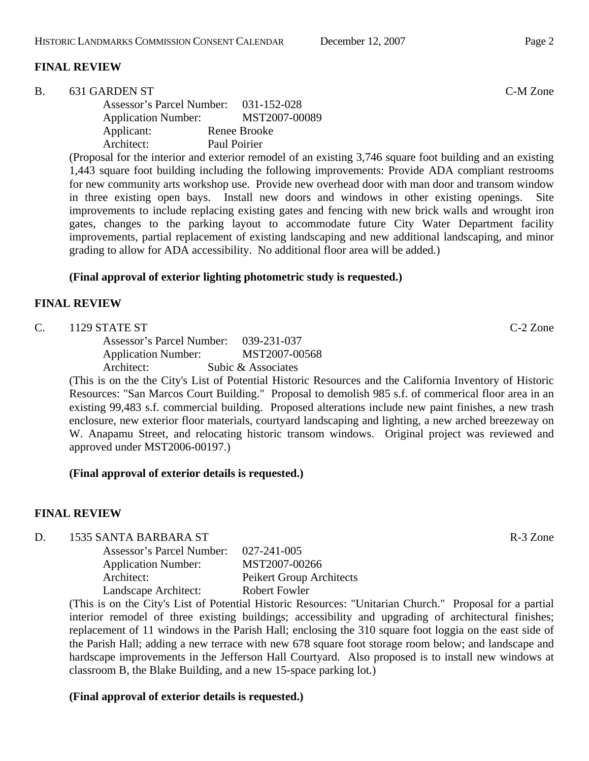## **FINAL REVIEW**

| 631 GARDEN ST | C-M Zone |
|---------------|----------|
|---------------|----------|

| <b>Assessor's Parcel Number:</b> | 031-152-028   |
|----------------------------------|---------------|
| <b>Application Number:</b>       | MST2007-00089 |
| Applicant:                       | Renee Brooke  |
| Architect:                       | Paul Poirier  |

(Proposal for the interior and exterior remodel of an existing 3,746 square foot building and an existing 1,443 square foot building including the following improvements: Provide ADA compliant restrooms for new community arts workshop use. Provide new overhead door with man door and transom window in three existing open bays. Install new doors and windows in other existing openings. Site improvements to include replacing existing gates and fencing with new brick walls and wrought iron gates, changes to the parking layout to accommodate future City Water Department facility improvements, partial replacement of existing landscaping and new additional landscaping, and minor grading to allow for ADA accessibility. No additional floor area will be added.)

#### **(Final approval of exterior lighting photometric study is requested.)**

## **FINAL REVIEW**

#### C. 1129 STATE ST C-2 Zone

Assessor's Parcel Number: 039-231-037 Application Number: MST2007-00568 Architect: Subic & Associates

(This is on the the City's List of Potential Historic Resources and the California Inventory of Historic Resources: "San Marcos Court Building." Proposal to demolish 985 s.f. of commerical floor area in an existing 99,483 s.f. commercial building. Proposed alterations include new paint finishes, a new trash enclosure, new exterior floor materials, courtyard landscaping and lighting, a new arched breezeway on W. Anapamu Street, and relocating historic transom windows. Original project was reviewed and approved under MST2006-00197.)

# **(Final approval of exterior details is requested.)**

# **FINAL REVIEW**

D. 1535 SANTA BARBARA ST R-3 Zone

| Assessor's Parcel Number:  | 027-241-005              |
|----------------------------|--------------------------|
| <b>Application Number:</b> | MST2007-00266            |
| Architect:                 | Peikert Group Architects |
| Landscape Architect:       | <b>Robert Fowler</b>     |

(This is on the City's List of Potential Historic Resources: "Unitarian Church." Proposal for a partial interior remodel of three existing buildings; accessibility and upgrading of architectural finishes; replacement of 11 windows in the Parish Hall; enclosing the 310 square foot loggia on the east side of the Parish Hall; adding a new terrace with new 678 square foot storage room below; and landscape and hardscape improvements in the Jefferson Hall Courtyard. Also proposed is to install new windows at classroom B, the Blake Building, and a new 15-space parking lot.)

#### **(Final approval of exterior details is requested.)**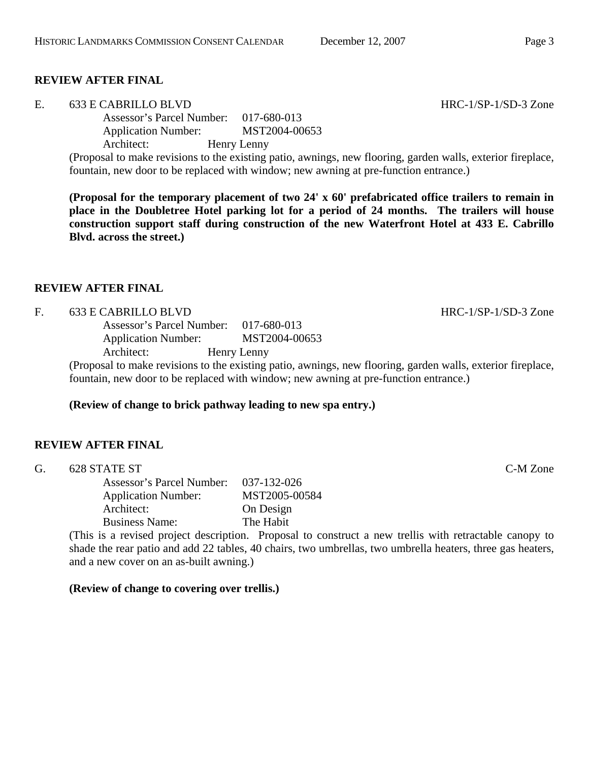## **REVIEW AFTER FINAL**

E. 633 E CABRILLO BLVD HRC-1/SP-1/SD-3 Zone

Assessor's Parcel Number: 017-680-013 Application Number: MST2004-00653 Architect: Henry Lenny

(Proposal to make revisions to the existing patio, awnings, new flooring, garden walls, exterior fireplace, fountain, new door to be replaced with window; new awning at pre-function entrance.)

**(Proposal for the temporary placement of two 24' x 60' prefabricated office trailers to remain in place in the Doubletree Hotel parking lot for a period of 24 months. The trailers will house construction support staff during construction of the new Waterfront Hotel at 433 E. Cabrillo Blvd. across the street.)** 

#### **REVIEW AFTER FINAL**

#### F. 633 E CABRILLO BLVD HRC-1/SP-1/SD-3 Zone

Assessor's Parcel Number: 017-680-013 Application Number: MST2004-00653 Architect: Henry Lenny

(Proposal to make revisions to the existing patio, awnings, new flooring, garden walls, exterior fireplace, fountain, new door to be replaced with window; new awning at pre-function entrance.)

#### **(Review of change to brick pathway leading to new spa entry.)**

# **REVIEW AFTER FINAL**

G. 628 STATE ST C-M Zone

Assessor's Parcel Number: 037-132-026 Application Number: MST2005-00584 Architect: On Design Business Name: The Habit

(This is a revised project description. Proposal to construct a new trellis with retractable canopy to shade the rear patio and add 22 tables, 40 chairs, two umbrellas, two umbrella heaters, three gas heaters, and a new cover on an as-built awning.)

#### **(Review of change to covering over trellis.)**